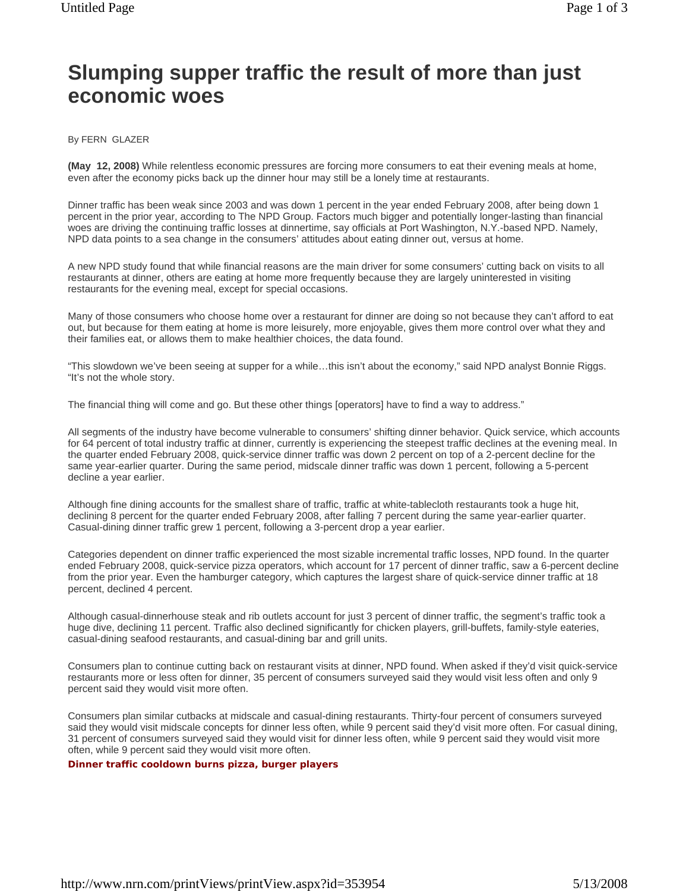## **Slumping supper traffic the result of more than just economic woes**

## By FERN GLAZER

**(May 12, 2008)** While relentless economic pressures are forcing more consumers to eat their evening meals at home, even after the economy picks back up the dinner hour may still be a lonely time at restaurants.

Dinner traffic has been weak since 2003 and was down 1 percent in the year ended February 2008, after being down 1 percent in the prior year, according to The NPD Group. Factors much bigger and potentially longer-lasting than financial woes are driving the continuing traffic losses at dinnertime, say officials at Port Washington, N.Y.-based NPD. Namely, NPD data points to a sea change in the consumers' attitudes about eating dinner out, versus at home.

A new NPD study found that while financial reasons are the main driver for some consumers' cutting back on visits to all restaurants at dinner, others are eating at home more frequently because they are largely uninterested in visiting restaurants for the evening meal, except for special occasions.

Many of those consumers who choose home over a restaurant for dinner are doing so not because they can't afford to eat out, but because for them eating at home is more leisurely, more enjoyable, gives them more control over what they and their families eat, or allows them to make healthier choices, the data found.

"This slowdown we've been seeing at supper for a while…this isn't about the economy," said NPD analyst Bonnie Riggs. "It's not the whole story.

The financial thing will come and go. But these other things [operators] have to find a way to address."

All segments of the industry have become vulnerable to consumers' shifting dinner behavior. Quick service, which accounts for 64 percent of total industry traffic at dinner, currently is experiencing the steepest traffic declines at the evening meal. In the quarter ended February 2008, quick-service dinner traffic was down 2 percent on top of a 2-percent decline for the same year-earlier quarter. During the same period, midscale dinner traffic was down 1 percent, following a 5-percent decline a year earlier.

Although fine dining accounts for the smallest share of traffic, traffic at white-tablecloth restaurants took a huge hit, declining 8 percent for the quarter ended February 2008, after falling 7 percent during the same year-earlier quarter. Casual-dining dinner traffic grew 1 percent, following a 3-percent drop a year earlier.

Categories dependent on dinner traffic experienced the most sizable incremental traffic losses, NPD found. In the quarter ended February 2008, quick-service pizza operators, which account for 17 percent of dinner traffic, saw a 6-percent decline from the prior year. Even the hamburger category, which captures the largest share of quick-service dinner traffic at 18 percent, declined 4 percent.

Although casual-dinnerhouse steak and rib outlets account for just 3 percent of dinner traffic, the segment's traffic took a huge dive, declining 11 percent. Traffic also declined significantly for chicken players, grill-buffets, family-style eateries, casual-dining seafood restaurants, and casual-dining bar and grill units.

Consumers plan to continue cutting back on restaurant visits at dinner, NPD found. When asked if they'd visit quick-service restaurants more or less often for dinner, 35 percent of consumers surveyed said they would visit less often and only 9 percent said they would visit more often.

Consumers plan similar cutbacks at midscale and casual-dining restaurants. Thirty-four percent of consumers surveyed said they would visit midscale concepts for dinner less often, while 9 percent said they'd visit more often. For casual dining, 31 percent of consumers surveyed said they would visit for dinner less often, while 9 percent said they would visit more often, while 9 percent said they would visit more often.

## **Dinner traffic cooldown burns pizza, burger players**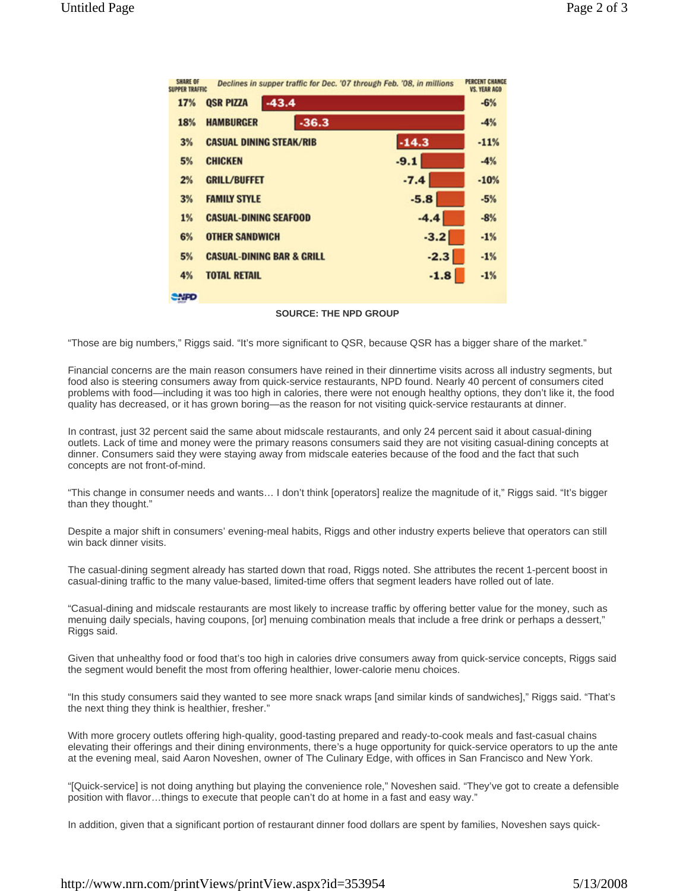| SHARE OF<br><b>SUPPER TRAFFIC</b> | Declines in supper traffic for Dec. '07 through Feb. '08, in millions |         | <b>PERCENT CHANGE</b><br><b>VS. YEAR AGO</b> |
|-----------------------------------|-----------------------------------------------------------------------|---------|----------------------------------------------|
| 17%                               | $-43.4$<br><b>QSR PIZZA</b>                                           |         | $-6%$                                        |
| 18%                               | $-36.3$<br><b>HAMBURGER</b>                                           |         | $-4%$                                        |
| 3%                                | <b>CASUAL DINING STEAK/RIB</b>                                        | $-14.3$ | $-11%$                                       |
| 5%                                | <b>CHICKEN</b>                                                        | $-9.1$  | $-4%$                                        |
| 2%                                | <b>GRILL/BUFFET</b>                                                   | $-7.4$  | $-10%$                                       |
| 3%                                | <b>FAMILY STYLE</b>                                                   | $-5.8$  | $-5%$                                        |
| 1%                                | <b>CASUAL-DINING SEAFOOD</b>                                          | $-4.4$  | $-8%$                                        |
| 6%                                | <b>OTHER SANDWICH</b>                                                 | $-3.2$  | $-1%$                                        |
| 5%                                | <b>CASUAL-DINING BAR &amp; GRILL</b>                                  | $-2.3$  | $-1%$                                        |
| 4%                                | <b>TOTAL RETAIL</b>                                                   | $-1.8$  | $-1%$                                        |
| <b>ANSO</b>                       |                                                                       |         |                                              |

**SOURCE: THE NPD GROUP**

"Those are big numbers," Riggs said. "It's more significant to QSR, because QSR has a bigger share of the market."

Financial concerns are the main reason consumers have reined in their dinnertime visits across all industry segments, but food also is steering consumers away from quick-service restaurants, NPD found. Nearly 40 percent of consumers cited problems with food—including it was too high in calories, there were not enough healthy options, they don't like it, the food quality has decreased, or it has grown boring—as the reason for not visiting quick-service restaurants at dinner.

In contrast, just 32 percent said the same about midscale restaurants, and only 24 percent said it about casual-dining outlets. Lack of time and money were the primary reasons consumers said they are not visiting casual-dining concepts at dinner. Consumers said they were staying away from midscale eateries because of the food and the fact that such concepts are not front-of-mind.

"This change in consumer needs and wants… I don't think [operators] realize the magnitude of it," Riggs said. "It's bigger than they thought."

Despite a major shift in consumers' evening-meal habits, Riggs and other industry experts believe that operators can still win back dinner visits.

The casual-dining segment already has started down that road, Riggs noted. She attributes the recent 1-percent boost in casual-dining traffic to the many value-based, limited-time offers that segment leaders have rolled out of late.

"Casual-dining and midscale restaurants are most likely to increase traffic by offering better value for the money, such as menuing daily specials, having coupons, [or] menuing combination meals that include a free drink or perhaps a dessert," Riggs said.

Given that unhealthy food or food that's too high in calories drive consumers away from quick-service concepts, Riggs said the segment would benefit the most from offering healthier, lower-calorie menu choices.

"In this study consumers said they wanted to see more snack wraps [and similar kinds of sandwiches]," Riggs said. "That's the next thing they think is healthier, fresher."

With more grocery outlets offering high-quality, good-tasting prepared and ready-to-cook meals and fast-casual chains elevating their offerings and their dining environments, there's a huge opportunity for quick-service operators to up the ante at the evening meal, said Aaron Noveshen, owner of The Culinary Edge, with offices in San Francisco and New York.

"[Quick-service] is not doing anything but playing the convenience role," Noveshen said. "They've got to create a defensible position with flavor…things to execute that people can't do at home in a fast and easy way."

In addition, given that a significant portion of restaurant dinner food dollars are spent by families, Noveshen says quick-